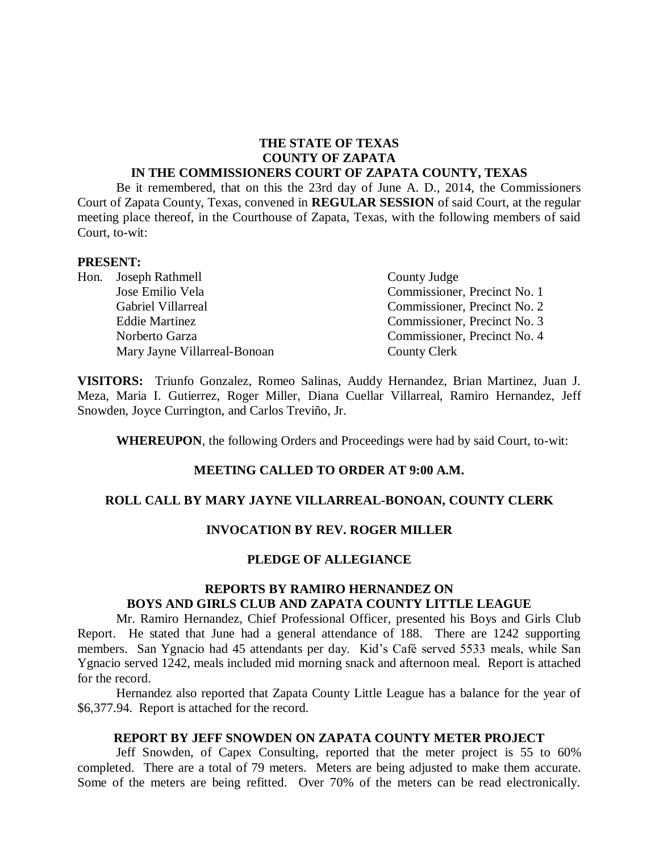# **THE STATE OF TEXAS COUNTY OF ZAPATA**

### **IN THE COMMISSIONERS COURT OF ZAPATA COUNTY, TEXAS**

Be it remembered, that on this the 23rd day of June A. D., 2014, the Commissioners Court of Zapata County, Texas, convened in **REGULAR SESSION** of said Court, at the regular meeting place thereof, in the Courthouse of Zapata, Texas, with the following members of said Court, to-wit:

#### **PRESENT:**

| Hon. Joseph Rathmell         | County Judge                 |
|------------------------------|------------------------------|
| Jose Emilio Vela             | Commissioner, Precinct No. 1 |
| Gabriel Villarreal           | Commissioner, Precinct No. 2 |
| <b>Eddie Martinez</b>        | Commissioner, Precinct No. 3 |
| Norberto Garza               | Commissioner, Precinct No. 4 |
| Mary Jayne Villarreal-Bonoan | County Clerk                 |

**VISITORS:** Triunfo Gonzalez, Romeo Salinas, Auddy Hernandez, Brian Martinez, Juan J. Meza, Maria I. Gutierrez, Roger Miller, Diana Cuellar Villarreal, Ramiro Hernandez, Jeff Snowden, Joyce Currington, and Carlos Treviño, Jr.

**WHEREUPON**, the following Orders and Proceedings were had by said Court, to-wit:

### **MEETING CALLED TO ORDER AT 9:00 A.M.**

### **ROLL CALL BY MARY JAYNE VILLARREAL-BONOAN, COUNTY CLERK**

#### **INVOCATION BY REV. ROGER MILLER**

#### **PLEDGE OF ALLEGIANCE**

### **REPORTS BY RAMIRO HERNANDEZ ON BOYS AND GIRLS CLUB AND ZAPATA COUNTY LITTLE LEAGUE**

Mr. Ramiro Hernandez, Chief Professional Officer, presented his Boys and Girls Club Report. He stated that June had a general attendance of 188. There are 1242 supporting members. San Ygnacio had 45 attendants per day. Kid's Café served 5533 meals, while San Ygnacio served 1242, meals included mid morning snack and afternoon meal. Report is attached for the record.

Hernandez also reported that Zapata County Little League has a balance for the year of \$6,377.94. Report is attached for the record.

### **REPORT BY JEFF SNOWDEN ON ZAPATA COUNTY METER PROJECT**

Jeff Snowden, of Capex Consulting, reported that the meter project is 55 to 60% completed. There are a total of 79 meters. Meters are being adjusted to make them accurate. Some of the meters are being refitted. Over 70% of the meters can be read electronically.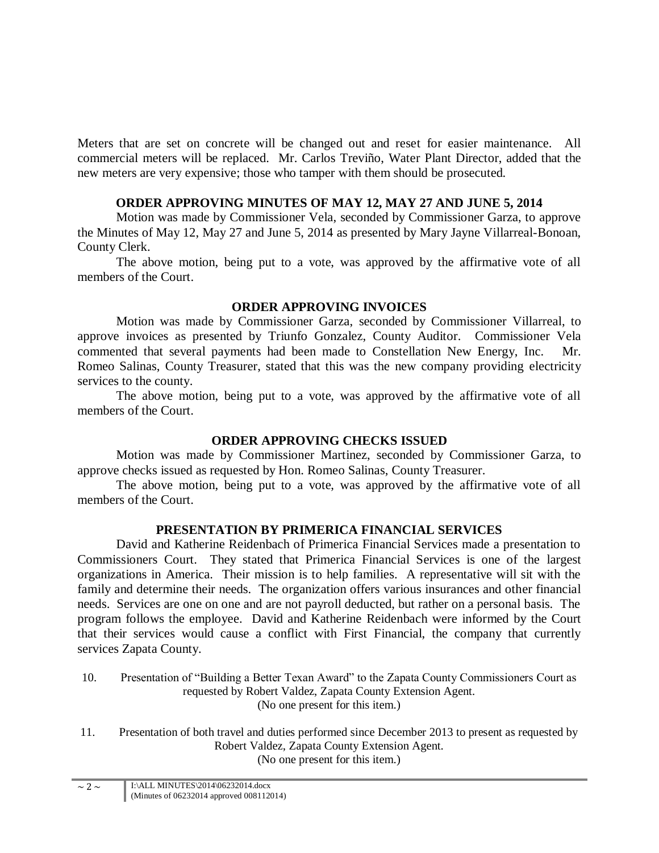Meters that are set on concrete will be changed out and reset for easier maintenance. All commercial meters will be replaced. Mr. Carlos Treviño, Water Plant Director, added that the new meters are very expensive; those who tamper with them should be prosecuted.

# **ORDER APPROVING MINUTES OF MAY 12, MAY 27 AND JUNE 5, 2014**

Motion was made by Commissioner Vela, seconded by Commissioner Garza, to approve the Minutes of May 12, May 27 and June 5, 2014 as presented by Mary Jayne Villarreal-Bonoan, County Clerk.

The above motion, being put to a vote, was approved by the affirmative vote of all members of the Court.

# **ORDER APPROVING INVOICES**

Motion was made by Commissioner Garza, seconded by Commissioner Villarreal, to approve invoices as presented by Triunfo Gonzalez, County Auditor. Commissioner Vela commented that several payments had been made to Constellation New Energy, Inc. Mr. Romeo Salinas, County Treasurer, stated that this was the new company providing electricity services to the county.

The above motion, being put to a vote, was approved by the affirmative vote of all members of the Court.

# **ORDER APPROVING CHECKS ISSUED**

Motion was made by Commissioner Martinez, seconded by Commissioner Garza, to approve checks issued as requested by Hon. Romeo Salinas, County Treasurer.

The above motion, being put to a vote, was approved by the affirmative vote of all members of the Court.

# **PRESENTATION BY PRIMERICA FINANCIAL SERVICES**

David and Katherine Reidenbach of Primerica Financial Services made a presentation to Commissioners Court. They stated that Primerica Financial Services is one of the largest organizations in America. Their mission is to help families. A representative will sit with the family and determine their needs. The organization offers various insurances and other financial needs. Services are one on one and are not payroll deducted, but rather on a personal basis. The program follows the employee. David and Katherine Reidenbach were informed by the Court that their services would cause a conflict with First Financial, the company that currently services Zapata County.

- 10. Presentation of "Building a Better Texan Award" to the Zapata County Commissioners Court as requested by Robert Valdez, Zapata County Extension Agent. (No one present for this item.)
- 11. Presentation of both travel and duties performed since December 2013 to present as requested by Robert Valdez, Zapata County Extension Agent. (No one present for this item.)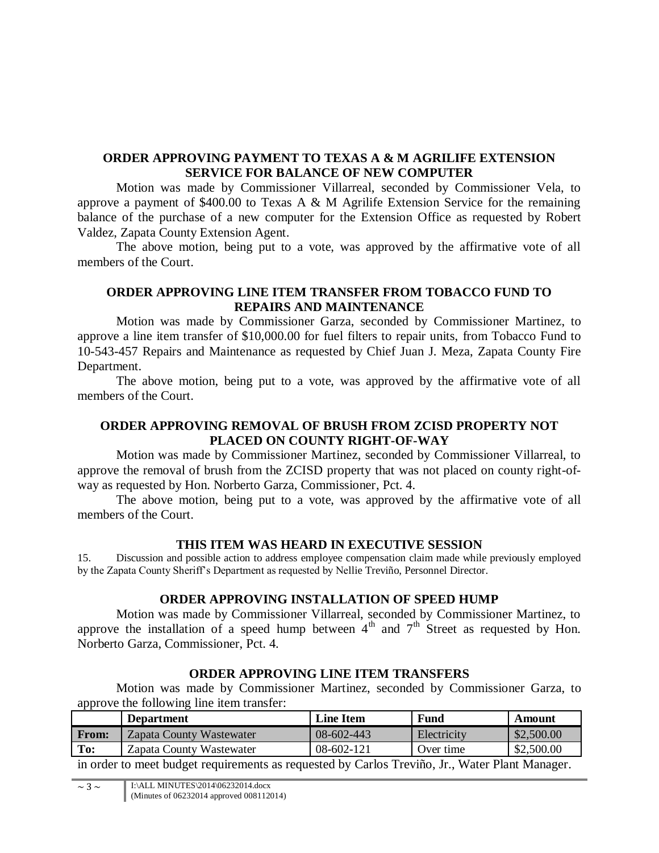# **ORDER APPROVING PAYMENT TO TEXAS A & M AGRILIFE EXTENSION SERVICE FOR BALANCE OF NEW COMPUTER**

Motion was made by Commissioner Villarreal, seconded by Commissioner Vela, to approve a payment of \$400.00 to Texas A & M Agrilife Extension Service for the remaining balance of the purchase of a new computer for the Extension Office as requested by Robert Valdez, Zapata County Extension Agent.

The above motion, being put to a vote, was approved by the affirmative vote of all members of the Court.

### **ORDER APPROVING LINE ITEM TRANSFER FROM TOBACCO FUND TO REPAIRS AND MAINTENANCE**

Motion was made by Commissioner Garza, seconded by Commissioner Martinez, to approve a line item transfer of \$10,000.00 for fuel filters to repair units, from Tobacco Fund to 10-543-457 Repairs and Maintenance as requested by Chief Juan J. Meza, Zapata County Fire Department.

The above motion, being put to a vote, was approved by the affirmative vote of all members of the Court.

# **ORDER APPROVING REMOVAL OF BRUSH FROM ZCISD PROPERTY NOT PLACED ON COUNTY RIGHT-OF-WAY**

Motion was made by Commissioner Martinez, seconded by Commissioner Villarreal, to approve the removal of brush from the ZCISD property that was not placed on county right-ofway as requested by Hon. Norberto Garza, Commissioner, Pct. 4.

The above motion, being put to a vote, was approved by the affirmative vote of all members of the Court.

### **THIS ITEM WAS HEARD IN EXECUTIVE SESSION**

15. Discussion and possible action to address employee compensation claim made while previously employed by the Zapata County Sheriff's Department as requested by Nellie Treviño, Personnel Director.

### **ORDER APPROVING INSTALLATION OF SPEED HUMP**

Motion was made by Commissioner Villarreal, seconded by Commissioner Martinez, to approve the installation of a speed hump between  $4<sup>th</sup>$  and  $7<sup>th</sup>$  Street as requested by Hon. Norberto Garza, Commissioner, Pct. 4.

### **ORDER APPROVING LINE ITEM TRANSFERS**

Motion was made by Commissioner Martinez, seconded by Commissioner Garza, to approve the following line item transfer:

|       | <b>Department</b>        | <b>Line Item</b> | Fund        | Amount     |
|-------|--------------------------|------------------|-------------|------------|
| From: | Zapata County Wastewater | $08-602-443$     | Electricity | \$2,500.00 |
| To:   | Zapata County Wastewater | $08-602-121$     | Over time   | \$2,500.00 |
|       |                          |                  |             |            |

in order to meet budget requirements as requested by Carlos Treviño, Jr., Water Plant Manager.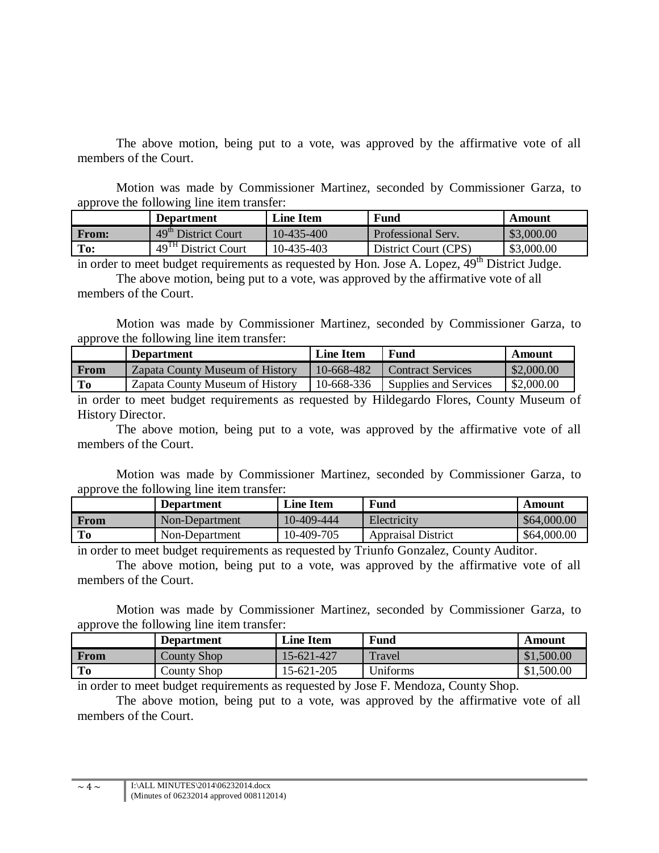The above motion, being put to a vote, was approved by the affirmative vote of all members of the Court.

Motion was made by Commissioner Martinez, seconded by Commissioner Garza, to approve the following line item transfer:

| - -          | <b>Department</b>               | <b>Line Item</b> | Fund                 | Amount     |
|--------------|---------------------------------|------------------|----------------------|------------|
| <b>From:</b> | 49 <sup>th</sup> District Court | 10-435-400       | Professional Serv.   | \$3,000.00 |
| To:          | 49 <sup>TH</sup> District Court | 10-435-403       | District Court (CPS) | \$3,000.00 |

in order to meet budget requirements as requested by Hon. Jose A. Lopez,  $49<sup>th</sup>$  District Judge. The above motion, being put to a vote, was approved by the affirmative vote of all members of the Court.

Motion was made by Commissioner Martinez, seconded by Commissioner Garza, to approve the following line item transfer:

|             | <b>Department</b>               | <b>Line Item</b> | <b>Fund</b>              | Amount     |
|-------------|---------------------------------|------------------|--------------------------|------------|
| <b>From</b> | Zapata County Museum of History | 10-668-482       | <b>Contract Services</b> | \$2,000.00 |
| To          | Zapata County Museum of History | 10-668-336       | Supplies and Services    | \$2,000.00 |

in order to meet budget requirements as requested by Hildegardo Flores, County Museum of History Director.

The above motion, being put to a vote, was approved by the affirmative vote of all members of the Court.

Motion was made by Commissioner Martinez, seconded by Commissioner Garza, to approve the following line item transfer:

|      | <b>Department</b> | <b>Line Item</b> | Fund                      | Amount      |
|------|-------------------|------------------|---------------------------|-------------|
| From | Non-Department    | 10-409-444       | Electricity               | \$64,000.00 |
| Tо   | Non-Department    | 10-409-705       | <b>Appraisal District</b> | \$64,000.00 |
|      |                   |                  |                           |             |

in order to meet budget requirements as requested by Triunfo Gonzalez, County Auditor.

The above motion, being put to a vote, was approved by the affirmative vote of all members of the Court.

Motion was made by Commissioner Martinez, seconded by Commissioner Garza, to approve the following line item transfer:

|             | <b>Department</b> | <b>Line Item</b> | Fund     | Amount     |
|-------------|-------------------|------------------|----------|------------|
| <b>From</b> | County Shop       | 15-621-427       | Travel   | \$1,500.00 |
| To          | County Shop       | 15-621-205       | Uniforms | \$1,500.00 |

in order to meet budget requirements as requested by Jose F. Mendoza, County Shop.

The above motion, being put to a vote, was approved by the affirmative vote of all members of the Court.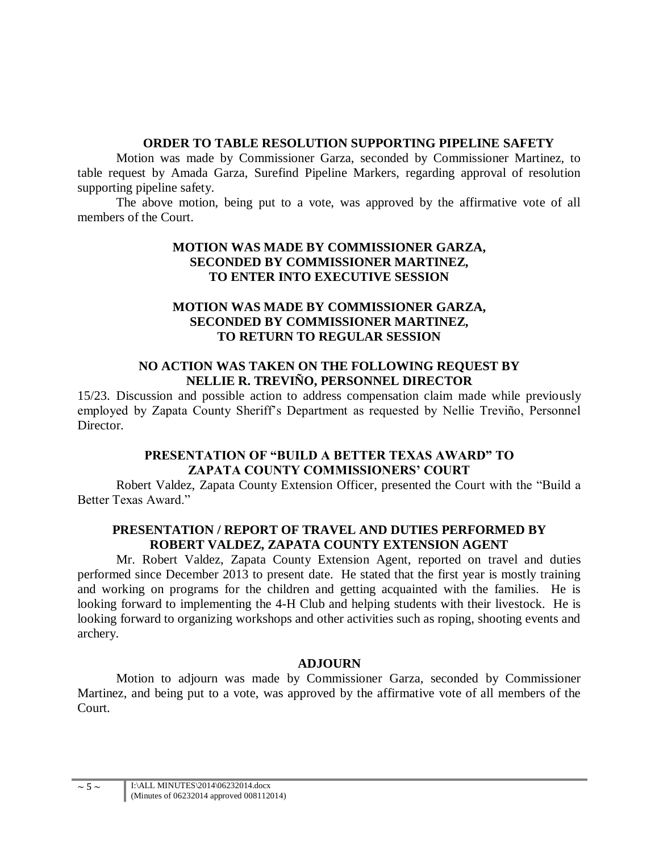## **ORDER TO TABLE RESOLUTION SUPPORTING PIPELINE SAFETY**

Motion was made by Commissioner Garza, seconded by Commissioner Martinez, to table request by Amada Garza, Surefind Pipeline Markers, regarding approval of resolution supporting pipeline safety.

The above motion, being put to a vote, was approved by the affirmative vote of all members of the Court.

## **MOTION WAS MADE BY COMMISSIONER GARZA, SECONDED BY COMMISSIONER MARTINEZ, TO ENTER INTO EXECUTIVE SESSION**

## **MOTION WAS MADE BY COMMISSIONER GARZA, SECONDED BY COMMISSIONER MARTINEZ, TO RETURN TO REGULAR SESSION**

### **NO ACTION WAS TAKEN ON THE FOLLOWING REQUEST BY NELLIE R. TREVIÑO, PERSONNEL DIRECTOR**

15/23. Discussion and possible action to address compensation claim made while previously employed by Zapata County Sheriff's Department as requested by Nellie Treviño, Personnel Director.

# **PRESENTATION OF "BUILD A BETTER TEXAS AWARD" TO ZAPATA COUNTY COMMISSIONERS' COURT**

Robert Valdez, Zapata County Extension Officer, presented the Court with the "Build a Better Texas Award."

# **PRESENTATION / REPORT OF TRAVEL AND DUTIES PERFORMED BY ROBERT VALDEZ, ZAPATA COUNTY EXTENSION AGENT**

Mr. Robert Valdez, Zapata County Extension Agent, reported on travel and duties performed since December 2013 to present date. He stated that the first year is mostly training and working on programs for the children and getting acquainted with the families. He is looking forward to implementing the 4-H Club and helping students with their livestock. He is looking forward to organizing workshops and other activities such as roping, shooting events and archery.

# **ADJOURN**

Motion to adjourn was made by Commissioner Garza, seconded by Commissioner Martinez, and being put to a vote, was approved by the affirmative vote of all members of the Court.